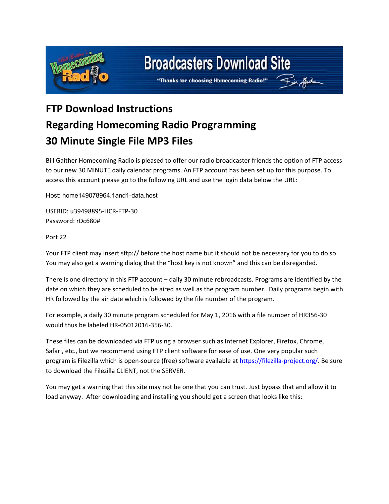

## **Broadcasters Download Site**

Fin Gut

"Thanks for choosing Homecoming Radio!"

## **FTP Download Instructions Regarding Homecoming Radio Programming 30 Minute Single File MP3 Files**

Bill Gaither Homecoming Radio is pleased to offer our radio broadcaster friends the option of FTP access to our new 30 MINUTE daily calendar programs. An FTP account has been set up for this purpose. To access this account please go to the following URL and use the login data below the URL:

Host: hom me149078964 4.1and1-data. host

USERID: u39498895-HCR-FTP-30 Password : rDc680#

Port 22

Your FTP client may insert sftp:// before the host name but it should not be necessary for you to do so. You may also get a warning dialog that the "host key is not known" and this can be disregarded.

There is one directory in this FTP account – daily 30 minute rebroadcasts. Programs are identified by the date on which they are scheduled to be aired as well as the program number. Daily programs begin with HR followed by the air date which is followed by the file number of the program.

For example, a daily 30 minute program scheduled for May 1, 2016 with a file number of HR356-30 would thus be labeled HR-05012016-356-30.

These files can be downloaded via FTP using a browser such as Internet Explorer, Firefox, Chrome, Safari, etc., but we recommend using FTP client software for ease of use. One very popular such program is Filezilla which is open-source (free) software available at https://filezilla-project.org/. Be sure to download the Filezilla CLIENT, not the SERVER.

You may get a warning that this site may not be one that you can trust. Just bypass that and allow it to load anyway. After downloading and installing you should get a screen that looks like this: